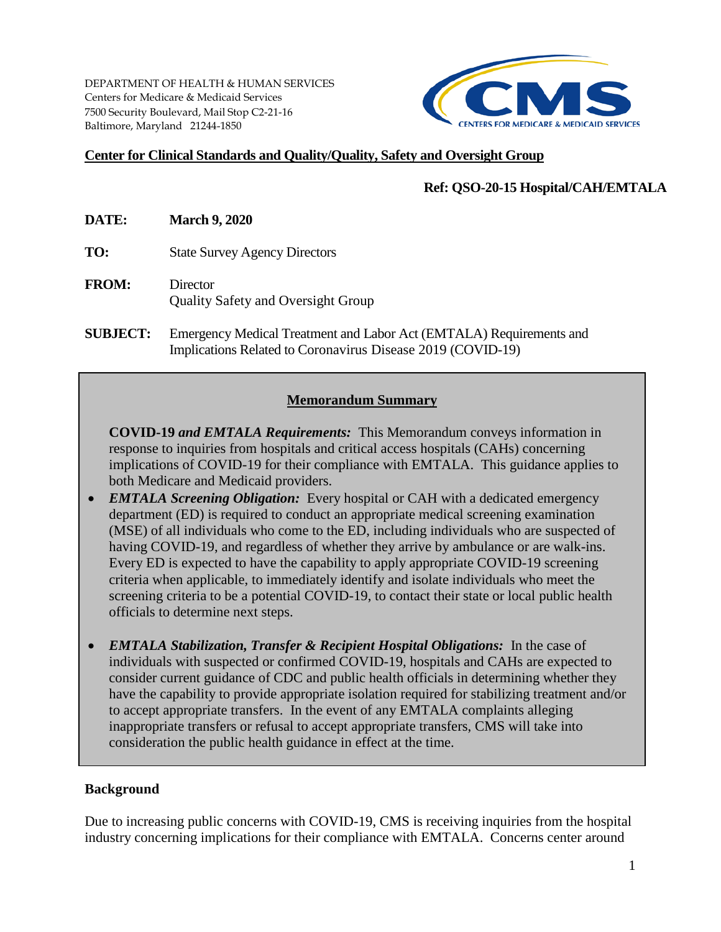DEPARTMENT OF HEALTH & HUMAN SERVICES Centers for Medicare & Medicaid Services 7500 Security Boulevard, Mail Stop C2-21-16 Baltimore, Maryland 21244-1850



## **Center for Clinical Standards and Quality/Quality, Safety and Oversight Group**

## **Ref: QSO-20-15 Hospital/CAH/EMTALA**

**DATE: March 9, 2020** 

**TO:** State Survey Agency Directors

- **FROM:** Director Quality Safety and Oversight Group
- **SUBJECT:** Emergency Medical Treatment and Labor Act (EMTALA) Requirements and Implications Related to Coronavirus Disease 2019 (COVID-19)

## **Memorandum Summary**

**COVID-19** *and EMTALA Requirements:* This Memorandum conveys information in response to inquiries from hospitals and critical access hospitals (CAHs) concerning implications of COVID-19 for their compliance with EMTALA. This guidance applies to both Medicare and Medicaid providers.

- *EMTALA Screening Obligation:* Every hospital or CAH with a dedicated emergency department (ED) is required to conduct an appropriate medical screening examination (MSE) of all individuals who come to the ED, including individuals who are suspected of having COVID-19, and regardless of whether they arrive by ambulance or are walk-ins. Every ED is expected to have the capability to apply appropriate COVID-19 screening criteria when applicable, to immediately identify and isolate individuals who meet the screening criteria to be a potential COVID-19, to contact their state or local public health officials to determine next steps.
- *EMTALA Stabilization, Transfer & Recipient Hospital Obligations:* In the case of individuals with suspected or confirmed COVID-19, hospitals and CAHs are expected to consider current guidance of CDC and public health officials in determining whether they have the capability to provide appropriate isolation required for stabilizing treatment and/or to accept appropriate transfers. In the event of any EMTALA complaints alleging inappropriate transfers or refusal to accept appropriate transfers, CMS will take into consideration the public health guidance in effect at the time.

### **Background**

Due to increasing public concerns with COVID-19, CMS is receiving inquiries from the hospital industry concerning implications for their compliance with EMTALA. Concerns center around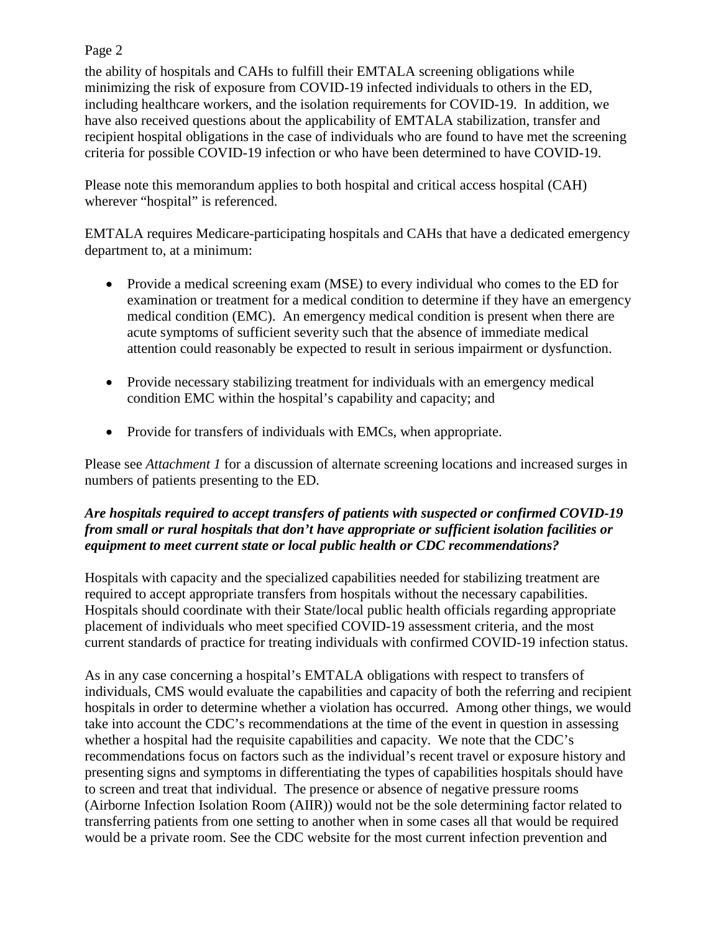the ability of hospitals and CAHs to fulfill their EMTALA screening obligations while minimizing the risk of exposure from COVID-19 infected individuals to others in the ED, including healthcare workers, and the isolation requirements for COVID-19. In addition, we have also received questions about the applicability of EMTALA stabilization, transfer and recipient hospital obligations in the case of individuals who are found to have met the screening criteria for possible COVID-19 infection or who have been determined to have COVID-19.

Please note this memorandum applies to both hospital and critical access hospital (CAH) wherever "hospital" is referenced.

EMTALA requires Medicare-participating hospitals and CAHs that have a dedicated emergency department to, at a minimum:

- Provide a medical screening exam (MSE) to every individual who comes to the ED for examination or treatment for a medical condition to determine if they have an emergency medical condition (EMC). An emergency medical condition is present when there are acute symptoms of sufficient severity such that the absence of immediate medical attention could reasonably be expected to result in serious impairment or dysfunction.
- Provide necessary stabilizing treatment for individuals with an emergency medical condition EMC within the hospital's capability and capacity; and
- Provide for transfers of individuals with EMCs, when appropriate.

Please see *Attachment 1* for a discussion of alternate screening locations and increased surges in numbers of patients presenting to the ED.

### *Are hospitals required to accept transfers of patients with suspected or confirmed COVID-19 from small or rural hospitals that don't have appropriate or sufficient isolation facilities or equipment to meet current state or local public health or CDC recommendations?*

Hospitals with capacity and the specialized capabilities needed for stabilizing treatment are required to accept appropriate transfers from hospitals without the necessary capabilities. Hospitals should coordinate with their State/local public health officials regarding appropriate placement of individuals who meet specified COVID-19 assessment criteria, and the most current standards of practice for treating individuals with confirmed COVID-19 infection status.

As in any case concerning a hospital's EMTALA obligations with respect to transfers of individuals, CMS would evaluate the capabilities and capacity of both the referring and recipient hospitals in order to determine whether a violation has occurred. Among other things, we would take into account the CDC's recommendations at the time of the event in question in assessing whether a hospital had the requisite capabilities and capacity. We note that the CDC's recommendations focus on factors such as the individual's recent travel or exposure history and presenting signs and symptoms in differentiating the types of capabilities hospitals should have to screen and treat that individual. The presence or absence of negative pressure rooms (Airborne Infection Isolation Room (AIIR)) would not be the sole determining factor related to transferring patients from one setting to another when in some cases all that would be required would be a private room. See the CDC website for the most current infection prevention and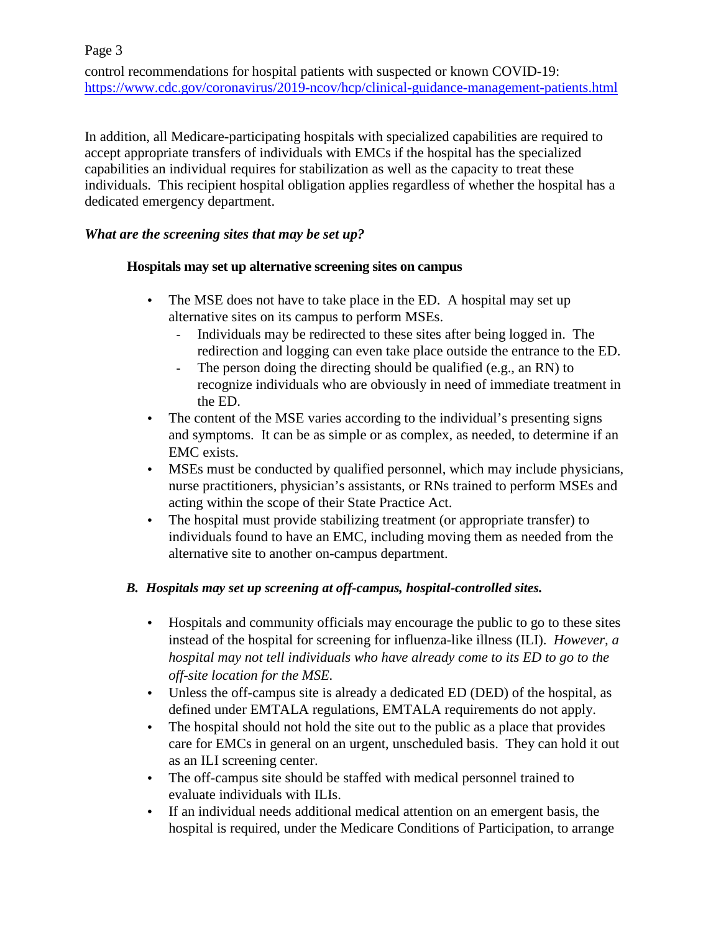control recommendations for hospital patients with suspected or known COVID-19: <https://www.cdc.gov/coronavirus/2019-ncov/hcp/clinical-guidance-management-patients.html>

In addition, all Medicare-participating hospitals with specialized capabilities are required to accept appropriate transfers of individuals with EMCs if the hospital has the specialized capabilities an individual requires for stabilization as well as the capacity to treat these individuals. This recipient hospital obligation applies regardless of whether the hospital has a dedicated emergency department.

## *What are the screening sites that may be set up?*

## **Hospitals may set up alternative screening sites on campus**

- The MSE does not have to take place in the ED. A hospital may set up alternative sites on its campus to perform MSEs.
	- Individuals may be redirected to these sites after being logged in. The redirection and logging can even take place outside the entrance to the ED.
	- The person doing the directing should be qualified (e.g., an RN) to recognize individuals who are obviously in need of immediate treatment in the ED.
- The content of the MSE varies according to the individual's presenting signs and symptoms. It can be as simple or as complex, as needed, to determine if an EMC exists.
- MSEs must be conducted by qualified personnel, which may include physicians, nurse practitioners, physician's assistants, or RNs trained to perform MSEs and acting within the scope of their State Practice Act.
- The hospital must provide stabilizing treatment (or appropriate transfer) to individuals found to have an EMC, including moving them as needed from the alternative site to another on-campus department.

## *B. Hospitals may set up screening at off-campus, hospital-controlled sites.*

- Hospitals and community officials may encourage the public to go to these sites instead of the hospital for screening for influenza-like illness (ILI). *However, a hospital may not tell individuals who have already come to its ED to go to the off-site location for the MSE.*
- Unless the off-campus site is already a dedicated ED (DED) of the hospital, as defined under EMTALA regulations, EMTALA requirements do not apply.
- The hospital should not hold the site out to the public as a place that provides care for EMCs in general on an urgent, unscheduled basis. They can hold it out as an ILI screening center.
- The off-campus site should be staffed with medical personnel trained to evaluate individuals with ILIs.
- If an individual needs additional medical attention on an emergent basis, the hospital is required, under the Medicare Conditions of Participation, to arrange

Page 3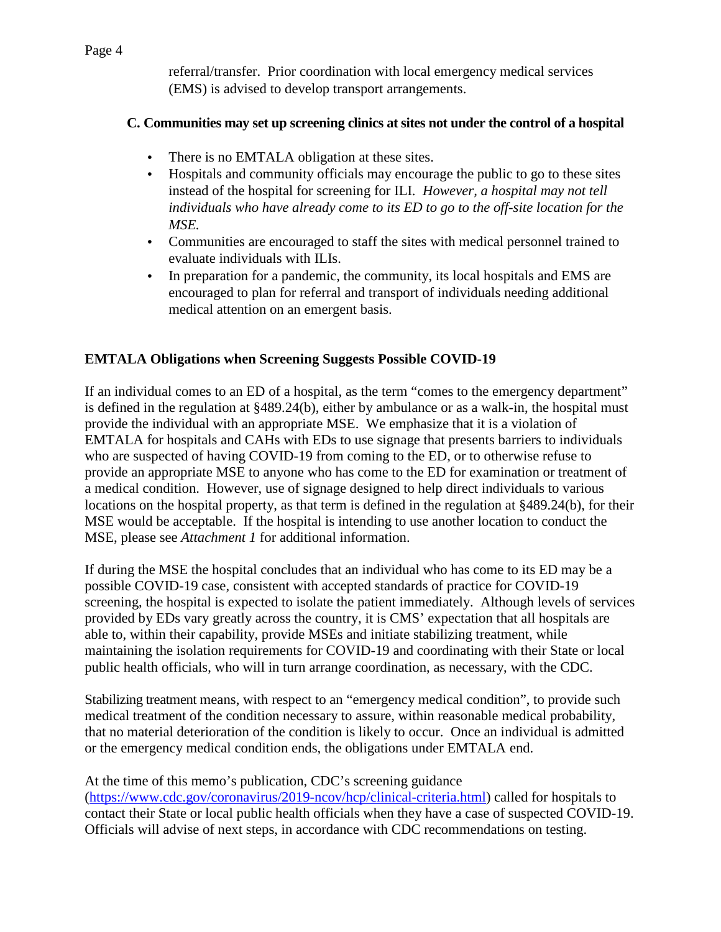referral/transfer. Prior coordination with local emergency medical services (EMS) is advised to develop transport arrangements.

#### **C. Communities may set up screening clinics at sites not under the control of a hospital**

- There is no EMTALA obligation at these sites.
- Hospitals and community officials may encourage the public to go to these sites instead of the hospital for screening for ILI. *However, a hospital may not tell individuals who have already come to its ED to go to the off-site location for the MSE.*
- Communities are encouraged to staff the sites with medical personnel trained to evaluate individuals with ILIs.
- In preparation for a pandemic, the community, its local hospitals and EMS are encouraged to plan for referral and transport of individuals needing additional medical attention on an emergent basis.

### **EMTALA Obligations when Screening Suggests Possible COVID-19**

If an individual comes to an ED of a hospital, as the term "comes to the emergency department" is defined in the regulation at §489.24(b), either by ambulance or as a walk-in, the hospital must provide the individual with an appropriate MSE. We emphasize that it is a violation of EMTALA for hospitals and CAHs with EDs to use signage that presents barriers to individuals who are suspected of having COVID-19 from coming to the ED, or to otherwise refuse to provide an appropriate MSE to anyone who has come to the ED for examination or treatment of a medical condition. However, use of signage designed to help direct individuals to various locations on the hospital property, as that term is defined in the regulation at §489.24(b), for their MSE would be acceptable. If the hospital is intending to use another location to conduct the MSE, please see *Attachment 1* for additional information.

If during the MSE the hospital concludes that an individual who has come to its ED may be a possible COVID-19 case, consistent with accepted standards of practice for COVID-19 screening, the hospital is expected to isolate the patient immediately. Although levels of services provided by EDs vary greatly across the country, it is CMS' expectation that all hospitals are able to, within their capability, provide MSEs and initiate stabilizing treatment, while maintaining the isolation requirements for COVID-19 and coordinating with their State or local public health officials, who will in turn arrange coordination, as necessary, with the CDC.

Stabilizing treatment means, with respect to an "emergency medical condition", to provide such medical treatment of the condition necessary to assure, within reasonable medical probability, that no material deterioration of the condition is likely to occur. Once an individual is admitted or the emergency medical condition ends, the obligations under EMTALA end.

At the time of this memo's publication, CDC's screening guidance [\(https://www.cdc.gov/coronavirus/2019-ncov/hcp/clinical-criteria.html\)](https://www.cdc.gov/coronavirus/2019-ncov/hcp/clinical-criteria.html) called for hospitals to contact their State or local public health officials when they have a case of suspected COVID-19. Officials will advise of next steps, in accordance with CDC recommendations on testing.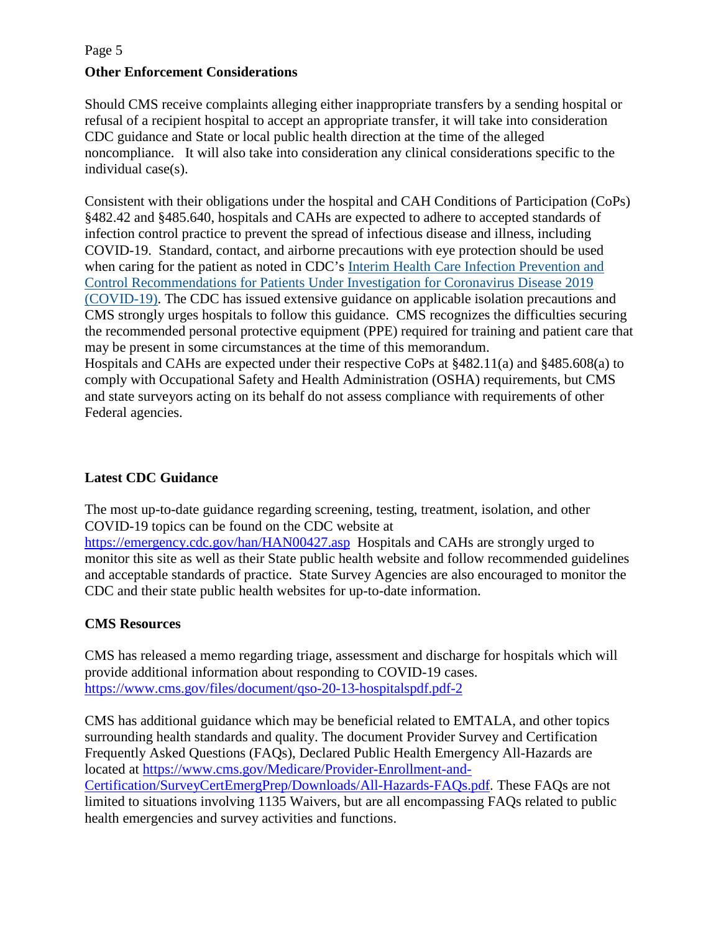## **Other Enforcement Considerations**

Should CMS receive complaints alleging either inappropriate transfers by a sending hospital or refusal of a recipient hospital to accept an appropriate transfer, it will take into consideration CDC guidance and State or local public health direction at the time of the alleged noncompliance. It will also take into consideration any clinical considerations specific to the individual case(s).

Consistent with their obligations under the hospital and CAH Conditions of Participation (CoPs) §482.42 and §485.640, hospitals and CAHs are expected to adhere to accepted standards of infection control practice to prevent the spread of infectious disease and illness, including COVID-19. Standard, contact, and airborne precautions with eye protection should be used when caring for the patient as noted in CDC's [Interim Health Care Infection Prevention and](https://www.cdc.gov/coronavirus/2019-nCoV/hcp/infection-control.html)  [Control Recommendations for Patients Under Investigation for Coronavirus Disease 2019](https://www.cdc.gov/coronavirus/2019-nCoV/hcp/infection-control.html)  [\(COVID-19\).](https://www.cdc.gov/coronavirus/2019-nCoV/hcp/infection-control.html) The CDC has issued extensive guidance on applicable isolation precautions and CMS strongly urges hospitals to follow this guidance. CMS recognizes the difficulties securing the recommended personal protective equipment (PPE) required for training and patient care that may be present in some circumstances at the time of this memorandum. Hospitals and CAHs are expected under their respective CoPs at §482.11(a) and §485.608(a) to comply with Occupational Safety and Health Administration (OSHA) requirements, but CMS and state surveyors acting on its behalf do not assess compliance with requirements of other Federal agencies.

### **Latest CDC Guidance**

The most up-to-date guidance regarding screening, testing, treatment, isolation, and other COVID-19 topics can be found on the CDC website at

<https://emergency.cdc.gov/han/HAN00427.asp> Hospitals and CAHs are strongly urged to monitor this site as well as their State public health website and follow recommended guidelines and acceptable standards of practice. State Survey Agencies are also encouraged to monitor the CDC and their state public health websites for up-to-date information.

## **CMS Resources**

CMS has released a memo regarding triage, assessment and discharge for hospitals which will provide additional information about responding to COVID-19 cases. <https://www.cms.gov/files/document/qso-20-13-hospitalspdf.pdf-2>

CMS has additional guidance which may be beneficial related to EMTALA, and other topics surrounding health standards and quality. The document Provider Survey and Certification Frequently Asked Questions (FAQs), Declared Public Health Emergency All-Hazards are located at [https://www.cms.gov/Medicare/Provider-Enrollment-and-](https://www.cms.gov/Medicare/Provider-Enrollment-and-Certification/SurveyCertEmergPrep/Downloads/All-Hazards-FAQs.pdf)[Certification/SurveyCertEmergPrep/Downloads/All-Hazards-FAQs.pdf.](https://www.cms.gov/Medicare/Provider-Enrollment-and-Certification/SurveyCertEmergPrep/Downloads/All-Hazards-FAQs.pdf) These FAQs are not limited to situations involving 1135 Waivers, but are all encompassing FAQs related to public health emergencies and survey activities and functions.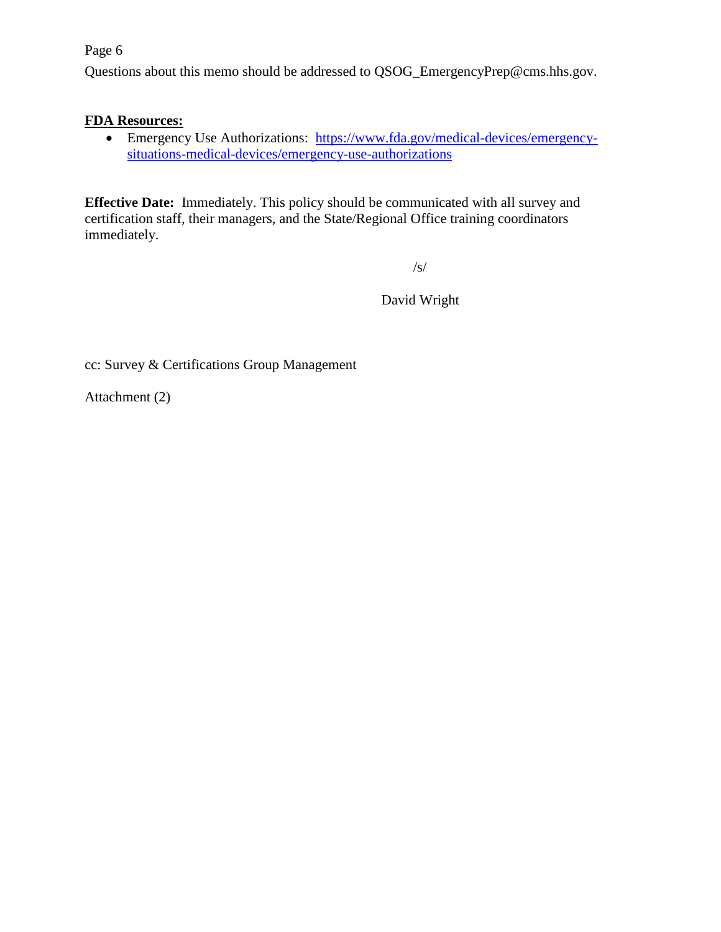Questions about this memo should be addressed to QSOG\_EmergencyPrep@cms.hhs.gov.

#### **FDA Resources:**

• Emergency Use Authorizations: [https://www.fda.gov/medical-devices/emergency](https://www.fda.gov/medical-devices/emergency-situations-medical-devices/emergency-use-authorizations)[situations-medical-devices/emergency-use-authorizations](https://www.fda.gov/medical-devices/emergency-situations-medical-devices/emergency-use-authorizations)

**Effective Date:** Immediately. This policy should be communicated with all survey and certification staff, their managers, and the State/Regional Office training coordinators immediately.

/s/

David Wright

cc: Survey & Certifications Group Management

Attachment (2)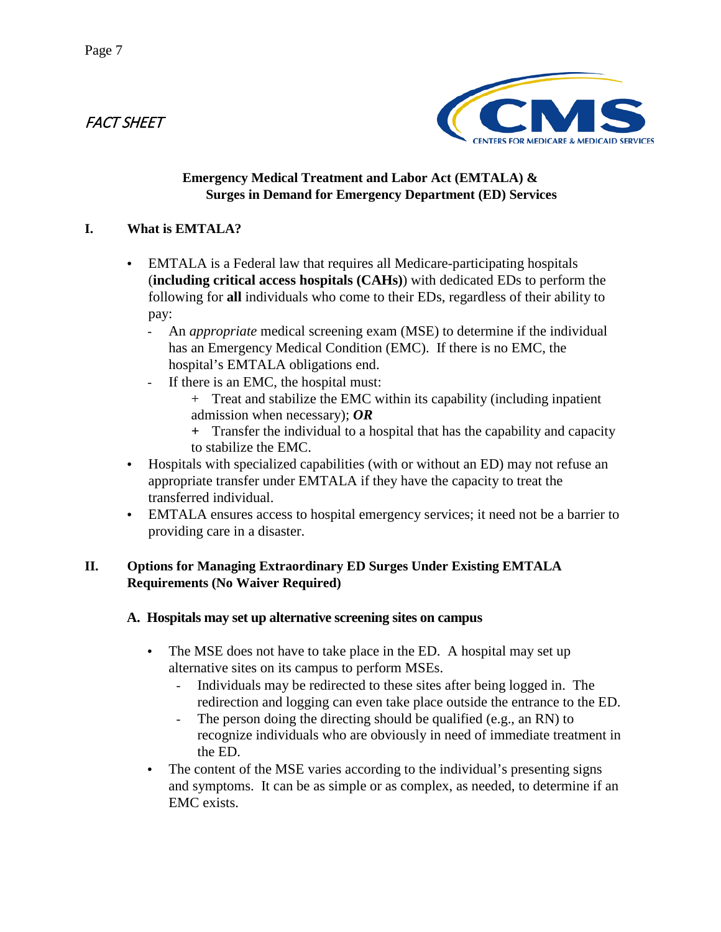FACT SHEET



## **Emergency Medical Treatment and Labor Act (EMTALA) & Surges in Demand for Emergency Department (ED) Services**

## **I. What is EMTALA?**

- EMTALA is a Federal law that requires all Medicare-participating hospitals (**including critical access hospitals (CAHs)**) with dedicated EDs to perform the following for **all** individuals who come to their EDs, regardless of their ability to pay:
	- An *appropriate* medical screening exam (MSE) to determine if the individual has an Emergency Medical Condition (EMC). If there is no EMC, the hospital's EMTALA obligations end.
	- If there is an EMC, the hospital must:
		- + Treat and stabilize the EMC within its capability (including inpatient admission when necessary); *OR*
		- *+* Transfer the individual to a hospital that has the capability and capacity to stabilize the EMC.
- Hospitals with specialized capabilities (with or without an ED) may not refuse an appropriate transfer under EMTALA if they have the capacity to treat the transferred individual.
- EMTALA ensures access to hospital emergency services; it need not be a barrier to providing care in a disaster.

## **II. Options for Managing Extraordinary ED Surges Under Existing EMTALA Requirements (No Waiver Required)**

### **A. Hospitals may set up alternative screening sites on campus**

- The MSE does not have to take place in the ED. A hospital may set up alternative sites on its campus to perform MSEs.
	- Individuals may be redirected to these sites after being logged in. The redirection and logging can even take place outside the entrance to the ED.
	- The person doing the directing should be qualified (e.g., an RN) to recognize individuals who are obviously in need of immediate treatment in the ED.
- The content of the MSE varies according to the individual's presenting signs and symptoms. It can be as simple or as complex, as needed, to determine if an EMC exists.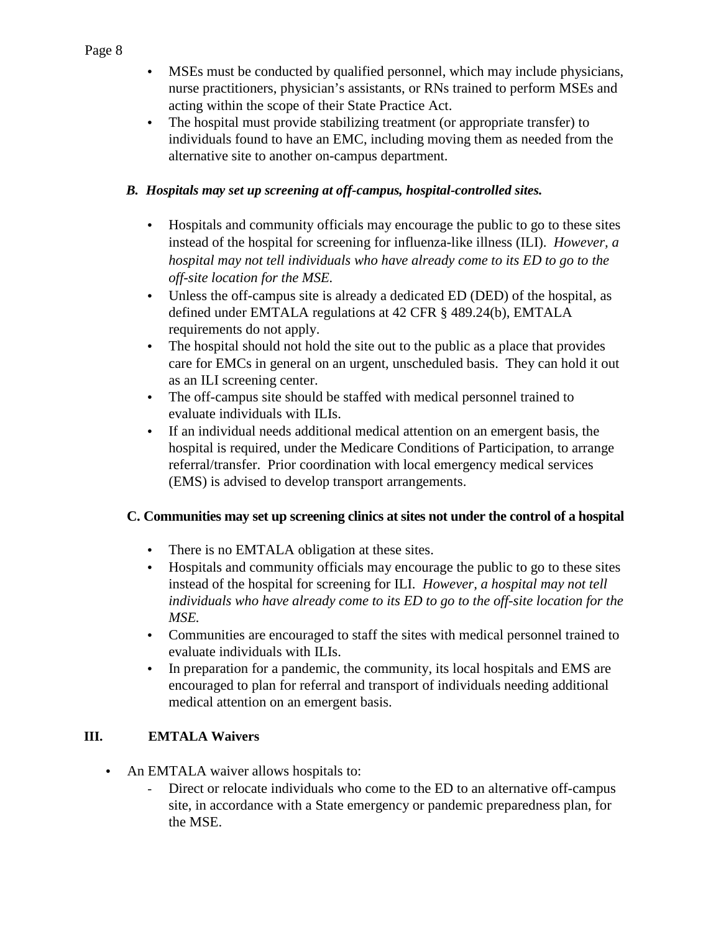- Page 8
- MSEs must be conducted by qualified personnel, which may include physicians, nurse practitioners, physician's assistants, or RNs trained to perform MSEs and acting within the scope of their State Practice Act.
- The hospital must provide stabilizing treatment (or appropriate transfer) to individuals found to have an EMC, including moving them as needed from the alternative site to another on-campus department.

## *B. Hospitals may set up screening at off-campus, hospital-controlled sites.*

- Hospitals and community officials may encourage the public to go to these sites instead of the hospital for screening for influenza-like illness (ILI). *However, a hospital may not tell individuals who have already come to its ED to go to the off-site location for the MSE.*
- Unless the off-campus site is already a dedicated ED (DED) of the hospital, as defined under EMTALA regulations at 42 CFR § 489.24(b), EMTALA requirements do not apply.
- The hospital should not hold the site out to the public as a place that provides care for EMCs in general on an urgent, unscheduled basis. They can hold it out as an ILI screening center.
- The off-campus site should be staffed with medical personnel trained to evaluate individuals with ILIs.
- If an individual needs additional medical attention on an emergent basis, the hospital is required, under the Medicare Conditions of Participation, to arrange referral/transfer. Prior coordination with local emergency medical services (EMS) is advised to develop transport arrangements.

### **C. Communities may set up screening clinics at sites not under the control of a hospital**

- There is no EMTALA obligation at these sites.
- Hospitals and community officials may encourage the public to go to these sites instead of the hospital for screening for ILI. *However, a hospital may not tell individuals who have already come to its ED to go to the off-site location for the MSE.*
- Communities are encouraged to staff the sites with medical personnel trained to evaluate individuals with ILIs.
- In preparation for a pandemic, the community, its local hospitals and EMS are encouraged to plan for referral and transport of individuals needing additional medical attention on an emergent basis.

## **III. EMTALA Waivers**

- An EMTALA waiver allows hospitals to:
	- Direct or relocate individuals who come to the ED to an alternative off-campus site, in accordance with a State emergency or pandemic preparedness plan, for the MSE.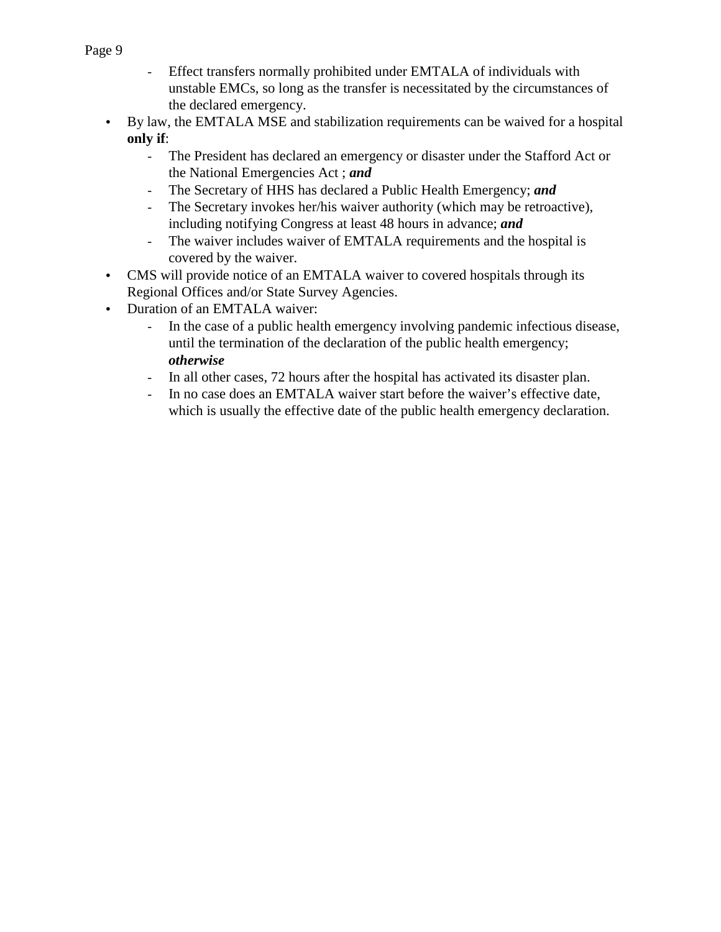- Effect transfers normally prohibited under EMTALA of individuals with unstable EMCs, so long as the transfer is necessitated by the circumstances of the declared emergency.
- By law, the EMTALA MSE and stabilization requirements can be waived for a hospital **only if**:
	- The President has declared an emergency or disaster under the Stafford Act or the National Emergencies Act ; *and*
	- The Secretary of HHS has declared a Public Health Emergency; *and*
	- The Secretary invokes her/his waiver authority (which may be retroactive), including notifying Congress at least 48 hours in advance; *and*
	- The waiver includes waiver of EMTALA requirements and the hospital is covered by the waiver.
- CMS will provide notice of an EMTALA waiver to covered hospitals through its Regional Offices and/or State Survey Agencies.
- Duration of an EMTALA waiver:
	- In the case of a public health emergency involving pandemic infectious disease, until the termination of the declaration of the public health emergency; *otherwise*
	- In all other cases, 72 hours after the hospital has activated its disaster plan.
	- In no case does an EMTALA waiver start before the waiver's effective date, which is usually the effective date of the public health emergency declaration.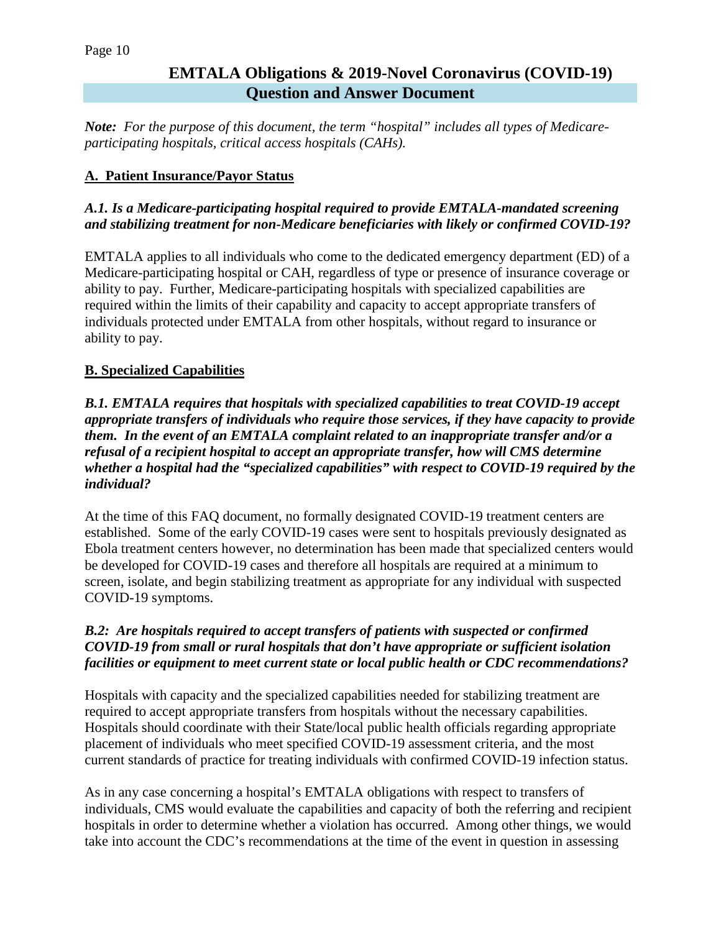# **EMTALA Obligations & 2019-Novel Coronavirus (COVID-19) Question and Answer Document**

*Note: For the purpose of this document, the term "hospital" includes all types of Medicareparticipating hospitals, critical access hospitals (CAHs).*

## **A. Patient Insurance/Payor Status**

## *A.1. Is a Medicare-participating hospital required to provide EMTALA-mandated screening and stabilizing treatment for non-Medicare beneficiaries with likely or confirmed COVID-19?*

EMTALA applies to all individuals who come to the dedicated emergency department (ED) of a Medicare-participating hospital or CAH, regardless of type or presence of insurance coverage or ability to pay. Further, Medicare-participating hospitals with specialized capabilities are required within the limits of their capability and capacity to accept appropriate transfers of individuals protected under EMTALA from other hospitals, without regard to insurance or ability to pay.

## **B. Specialized Capabilities**

*B.1. EMTALA requires that hospitals with specialized capabilities to treat COVID-19 accept appropriate transfers of individuals who require those services, if they have capacity to provide them. In the event of an EMTALA complaint related to an inappropriate transfer and/or a refusal of a recipient hospital to accept an appropriate transfer, how will CMS determine whether a hospital had the "specialized capabilities" with respect to COVID-19 required by the individual?*

At the time of this FAQ document, no formally designated COVID-19 treatment centers are established. Some of the early COVID-19 cases were sent to hospitals previously designated as Ebola treatment centers however, no determination has been made that specialized centers would be developed for COVID-19 cases and therefore all hospitals are required at a minimum to screen, isolate, and begin stabilizing treatment as appropriate for any individual with suspected COVID-19 symptoms.

### *B.2: Are hospitals required to accept transfers of patients with suspected or confirmed COVID-19 from small or rural hospitals that don't have appropriate or sufficient isolation facilities or equipment to meet current state or local public health or CDC recommendations?*

Hospitals with capacity and the specialized capabilities needed for stabilizing treatment are required to accept appropriate transfers from hospitals without the necessary capabilities. Hospitals should coordinate with their State/local public health officials regarding appropriate placement of individuals who meet specified COVID-19 assessment criteria, and the most current standards of practice for treating individuals with confirmed COVID-19 infection status.

As in any case concerning a hospital's EMTALA obligations with respect to transfers of individuals, CMS would evaluate the capabilities and capacity of both the referring and recipient hospitals in order to determine whether a violation has occurred. Among other things, we would take into account the CDC's recommendations at the time of the event in question in assessing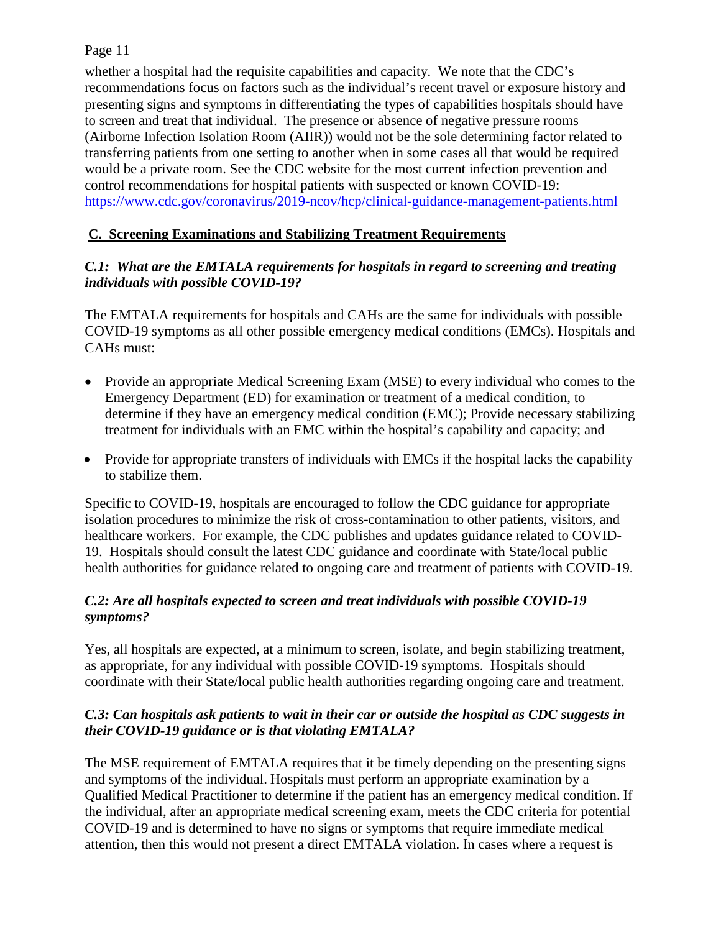whether a hospital had the requisite capabilities and capacity. We note that the CDC's recommendations focus on factors such as the individual's recent travel or exposure history and presenting signs and symptoms in differentiating the types of capabilities hospitals should have to screen and treat that individual. The presence or absence of negative pressure rooms (Airborne Infection Isolation Room (AIIR)) would not be the sole determining factor related to transferring patients from one setting to another when in some cases all that would be required would be a private room. See the CDC website for the most current infection prevention and control recommendations for hospital patients with suspected or known COVID-19: <https://www.cdc.gov/coronavirus/2019-ncov/hcp/clinical-guidance-management-patients.html>

## **C. Screening Examinations and Stabilizing Treatment Requirements**

## *C.1: What are the EMTALA requirements for hospitals in regard to screening and treating individuals with possible COVID-19?*

The EMTALA requirements for hospitals and CAHs are the same for individuals with possible COVID-19 symptoms as all other possible emergency medical conditions (EMCs). Hospitals and CAHs must:

- Provide an appropriate Medical Screening Exam (MSE) to every individual who comes to the Emergency Department (ED) for examination or treatment of a medical condition, to determine if they have an emergency medical condition (EMC); Provide necessary stabilizing treatment for individuals with an EMC within the hospital's capability and capacity; and
- Provide for appropriate transfers of individuals with EMCs if the hospital lacks the capability to stabilize them.

Specific to COVID-19, hospitals are encouraged to follow the CDC guidance for appropriate isolation procedures to minimize the risk of cross-contamination to other patients, visitors, and healthcare workers. For example, the CDC publishes and updates guidance related to COVID-19. Hospitals should consult the latest CDC guidance and coordinate with State/local public health authorities for guidance related to ongoing care and treatment of patients with COVID-19.

### *C.2: Are all hospitals expected to screen and treat individuals with possible COVID-19 symptoms?*

Yes, all hospitals are expected, at a minimum to screen, isolate, and begin stabilizing treatment, as appropriate, for any individual with possible COVID-19 symptoms. Hospitals should coordinate with their State/local public health authorities regarding ongoing care and treatment.

## *C.3: Can hospitals ask patients to wait in their car or outside the hospital as CDC suggests in their COVID-19 guidance or is that violating EMTALA?*

The MSE requirement of EMTALA requires that it be timely depending on the presenting signs and symptoms of the individual. Hospitals must perform an appropriate examination by a Qualified Medical Practitioner to determine if the patient has an emergency medical condition. If the individual, after an appropriate medical screening exam, meets the CDC criteria for potential COVID-19 and is determined to have no signs or symptoms that require immediate medical attention, then this would not present a direct EMTALA violation. In cases where a request is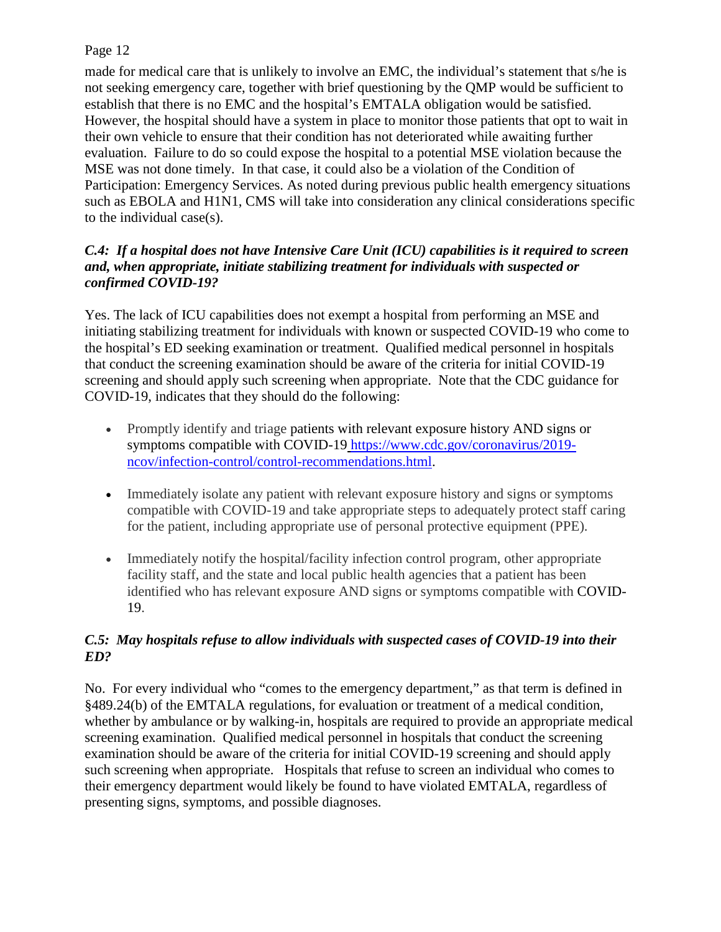made for medical care that is unlikely to involve an EMC, the individual's statement that s/he is not seeking emergency care, together with brief questioning by the QMP would be sufficient to establish that there is no EMC and the hospital's EMTALA obligation would be satisfied. However, the hospital should have a system in place to monitor those patients that opt to wait in their own vehicle to ensure that their condition has not deteriorated while awaiting further evaluation. Failure to do so could expose the hospital to a potential MSE violation because the MSE was not done timely. In that case, it could also be a violation of the Condition of Participation: Emergency Services. As noted during previous public health emergency situations such as EBOLA and H1N1, CMS will take into consideration any clinical considerations specific to the individual case(s).

## *C.4: If a hospital does not have Intensive Care Unit (ICU) capabilities is it required to screen and, when appropriate, initiate stabilizing treatment for individuals with suspected or confirmed COVID-19?*

Yes. The lack of ICU capabilities does not exempt a hospital from performing an MSE and initiating stabilizing treatment for individuals with known or suspected COVID-19 who come to the hospital's ED seeking examination or treatment. Qualified medical personnel in hospitals that conduct the screening examination should be aware of the criteria for initial COVID-19 screening and should apply such screening when appropriate. Note that the CDC guidance for COVID-19, indicates that they should do the following:

- Promptly identify and triage patients with relevant exposure history AND signs or symptoms compatible with COVID-19 [https://www.cdc.gov/coronavirus/2019](https://www.cdc.gov/coronavirus/2019-ncov/infection-control/control-recommendations.html) [ncov/infection-control/control-recommendations.html.](https://www.cdc.gov/coronavirus/2019-ncov/infection-control/control-recommendations.html)
- Immediately isolate any patient with relevant exposure history and signs or symptoms compatible with COVID-19 and take appropriate steps to adequately protect staff caring for the patient, including appropriate use of personal protective equipment (PPE).
- Immediately notify the hospital/facility infection control program, other appropriate facility staff, and the state and local public health agencies that a patient has been identified who has relevant exposure AND signs or symptoms compatible with COVID-19.

## *C.5: May hospitals refuse to allow individuals with suspected cases of COVID-19 into their ED?*

No. For every individual who "comes to the emergency department," as that term is defined in §489.24(b) of the EMTALA regulations, for evaluation or treatment of a medical condition, whether by ambulance or by walking-in, hospitals are required to provide an appropriate medical screening examination. Qualified medical personnel in hospitals that conduct the screening examination should be aware of the criteria for initial COVID-19 screening and should apply such screening when appropriate. Hospitals that refuse to screen an individual who comes to their emergency department would likely be found to have violated EMTALA, regardless of presenting signs, symptoms, and possible diagnoses.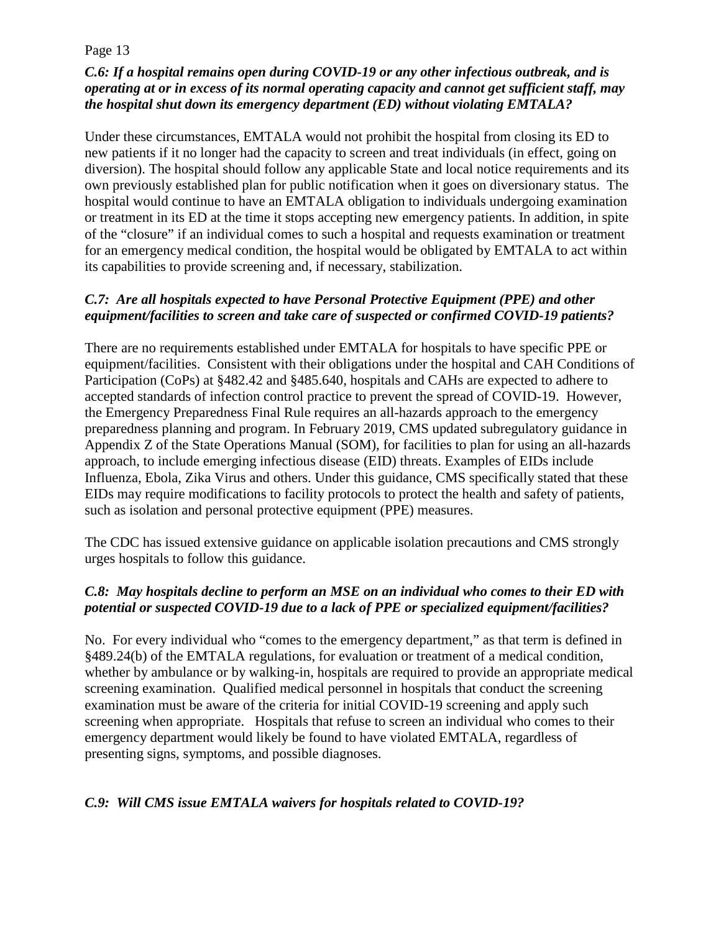### *C.6: If a hospital remains open during COVID-19 or any other infectious outbreak, and is operating at or in excess of its normal operating capacity and cannot get sufficient staff, may the hospital shut down its emergency department (ED) without violating EMTALA?*

Under these circumstances, EMTALA would not prohibit the hospital from closing its ED to new patients if it no longer had the capacity to screen and treat individuals (in effect, going on diversion). The hospital should follow any applicable State and local notice requirements and its own previously established plan for public notification when it goes on diversionary status. The hospital would continue to have an EMTALA obligation to individuals undergoing examination or treatment in its ED at the time it stops accepting new emergency patients. In addition, in spite of the "closure" if an individual comes to such a hospital and requests examination or treatment for an emergency medical condition, the hospital would be obligated by EMTALA to act within its capabilities to provide screening and, if necessary, stabilization.

## *C.7: Are all hospitals expected to have Personal Protective Equipment (PPE) and other equipment/facilities to screen and take care of suspected or confirmed COVID-19 patients?*

There are no requirements established under EMTALA for hospitals to have specific PPE or equipment/facilities. Consistent with their obligations under the hospital and CAH Conditions of Participation (CoPs) at §482.42 and §485.640, hospitals and CAHs are expected to adhere to accepted standards of infection control practice to prevent the spread of COVID-19. However, the Emergency Preparedness Final Rule requires an all-hazards approach to the emergency preparedness planning and program. In February 2019, CMS updated subregulatory guidance in Appendix Z of the State Operations Manual (SOM), for facilities to plan for using an all-hazards approach, to include emerging infectious disease (EID) threats. Examples of EIDs include Influenza, Ebola, Zika Virus and others. Under this guidance, CMS specifically stated that these EIDs may require modifications to facility protocols to protect the health and safety of patients, such as isolation and personal protective equipment (PPE) measures.

The CDC has issued extensive guidance on applicable isolation precautions and CMS strongly urges hospitals to follow this guidance.

## *C.8: May hospitals decline to perform an MSE on an individual who comes to their ED with potential or suspected COVID-19 due to a lack of PPE or specialized equipment/facilities?*

No. For every individual who "comes to the emergency department," as that term is defined in §489.24(b) of the EMTALA regulations, for evaluation or treatment of a medical condition, whether by ambulance or by walking-in, hospitals are required to provide an appropriate medical screening examination. Qualified medical personnel in hospitals that conduct the screening examination must be aware of the criteria for initial COVID-19 screening and apply such screening when appropriate. Hospitals that refuse to screen an individual who comes to their emergency department would likely be found to have violated EMTALA, regardless of presenting signs, symptoms, and possible diagnoses.

## *C.9: Will CMS issue EMTALA waivers for hospitals related to COVID-19?*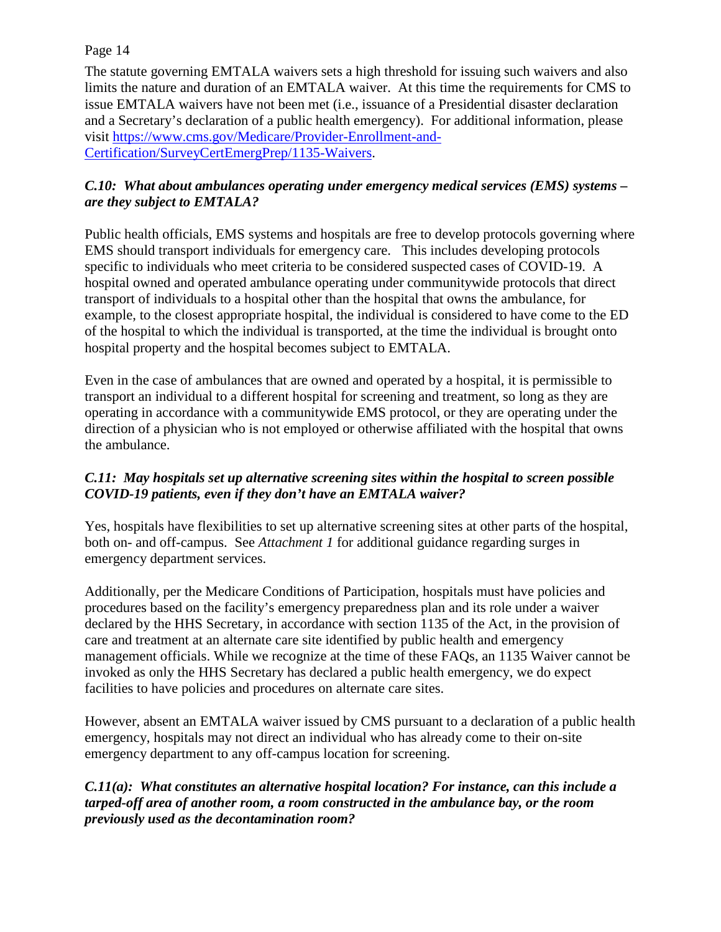The statute governing EMTALA waivers sets a high threshold for issuing such waivers and also limits the nature and duration of an EMTALA waiver. At this time the requirements for CMS to issue EMTALA waivers have not been met (i.e., issuance of a Presidential disaster declaration and a Secretary's declaration of a public health emergency). For additional information, please visit [https://www.cms.gov/Medicare/Provider-Enrollment-and-](https://www.cms.gov/Medicare/Provider-Enrollment-and-Certification/SurveyCertEmergPrep/1135-Waivers)[Certification/SurveyCertEmergPrep/1135-Waivers.](https://www.cms.gov/Medicare/Provider-Enrollment-and-Certification/SurveyCertEmergPrep/1135-Waivers)

## *C.10: What about ambulances operating under emergency medical services (EMS) systems – are they subject to EMTALA?*

Public health officials, EMS systems and hospitals are free to develop protocols governing where EMS should transport individuals for emergency care. This includes developing protocols specific to individuals who meet criteria to be considered suspected cases of COVID-19. A hospital owned and operated ambulance operating under communitywide protocols that direct transport of individuals to a hospital other than the hospital that owns the ambulance, for example, to the closest appropriate hospital, the individual is considered to have come to the ED of the hospital to which the individual is transported, at the time the individual is brought onto hospital property and the hospital becomes subject to EMTALA.

Even in the case of ambulances that are owned and operated by a hospital, it is permissible to transport an individual to a different hospital for screening and treatment, so long as they are operating in accordance with a communitywide EMS protocol, or they are operating under the direction of a physician who is not employed or otherwise affiliated with the hospital that owns the ambulance.

## *C.11: May hospitals set up alternative screening sites within the hospital to screen possible COVID-19 patients, even if they don't have an EMTALA waiver?*

Yes, hospitals have flexibilities to set up alternative screening sites at other parts of the hospital, both on- and off-campus. See *Attachment 1* for additional guidance regarding surges in emergency department services.

Additionally, per the Medicare Conditions of Participation, hospitals must have policies and procedures based on the facility's emergency preparedness plan and its role under a waiver declared by the HHS Secretary, in accordance with section 1135 of the Act, in the provision of care and treatment at an alternate care site identified by public health and emergency management officials. While we recognize at the time of these FAQs, an 1135 Waiver cannot be invoked as only the HHS Secretary has declared a public health emergency, we do expect facilities to have policies and procedures on alternate care sites.

However, absent an EMTALA waiver issued by CMS pursuant to a declaration of a public health emergency, hospitals may not direct an individual who has already come to their on-site emergency department to any off-campus location for screening.

*C.11(a): What constitutes an alternative hospital location? For instance, can this include a tarped-off area of another room, a room constructed in the ambulance bay, or the room previously used as the decontamination room?*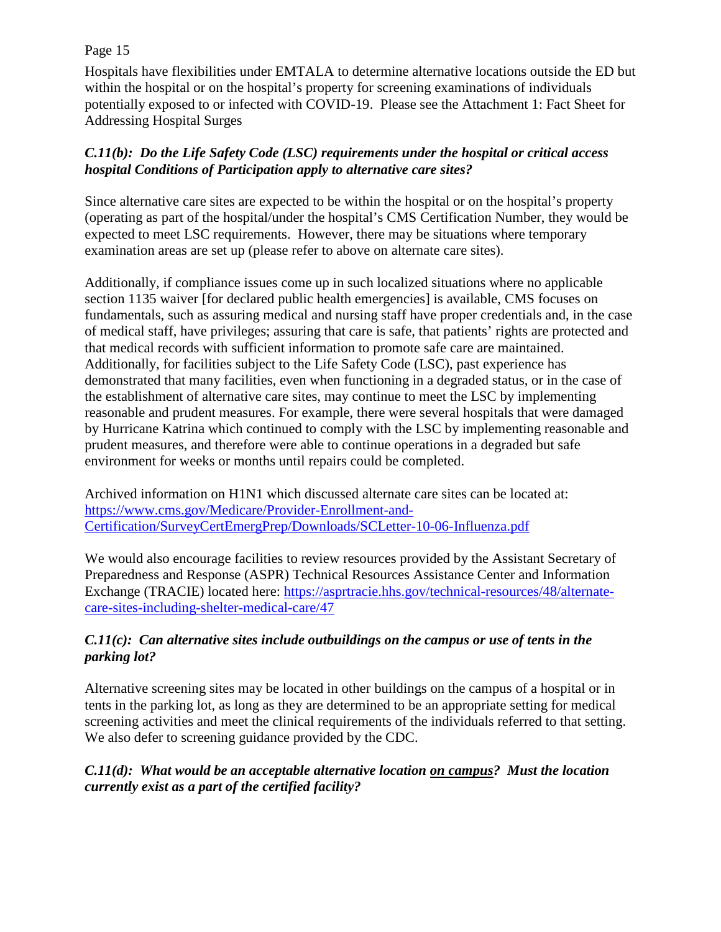Hospitals have flexibilities under EMTALA to determine alternative locations outside the ED but within the hospital or on the hospital's property for screening examinations of individuals potentially exposed to or infected with COVID-19. Please see the Attachment 1: Fact Sheet for Addressing Hospital Surges

## *C.11(b): Do the Life Safety Code (LSC) requirements under the hospital or critical access hospital Conditions of Participation apply to alternative care sites?*

Since alternative care sites are expected to be within the hospital or on the hospital's property (operating as part of the hospital/under the hospital's CMS Certification Number, they would be expected to meet LSC requirements. However, there may be situations where temporary examination areas are set up (please refer to above on alternate care sites).

Additionally, if compliance issues come up in such localized situations where no applicable section 1135 waiver [for declared public health emergencies] is available, CMS focuses on fundamentals, such as assuring medical and nursing staff have proper credentials and, in the case of medical staff, have privileges; assuring that care is safe, that patients' rights are protected and that medical records with sufficient information to promote safe care are maintained. Additionally, for facilities subject to the Life Safety Code (LSC), past experience has demonstrated that many facilities, even when functioning in a degraded status, or in the case of the establishment of alternative care sites, may continue to meet the LSC by implementing reasonable and prudent measures. For example, there were several hospitals that were damaged by Hurricane Katrina which continued to comply with the LSC by implementing reasonable and prudent measures, and therefore were able to continue operations in a degraded but safe environment for weeks or months until repairs could be completed.

Archived information on H1N1 which discussed alternate care sites can be located at: [https://www.cms.gov/Medicare/Provider-Enrollment-and-](https://www.cms.gov/Medicare/Provider-Enrollment-and-Certification/SurveyCertEmergPrep/Downloads/SCLetter-10-06-Influenza.pdf)[Certification/SurveyCertEmergPrep/Downloads/SCLetter-10-06-Influenza.pdf](https://www.cms.gov/Medicare/Provider-Enrollment-and-Certification/SurveyCertEmergPrep/Downloads/SCLetter-10-06-Influenza.pdf)

We would also encourage facilities to review resources provided by the Assistant Secretary of Preparedness and Response (ASPR) Technical Resources Assistance Center and Information Exchange (TRACIE) located here: [https://asprtracie.hhs.gov/technical-resources/48/alternate](https://asprtracie.hhs.gov/technical-resources/48/alternate-care-sites-including-shelter-medical-care/47)[care-sites-including-shelter-medical-care/47](https://asprtracie.hhs.gov/technical-resources/48/alternate-care-sites-including-shelter-medical-care/47)

### *C.11(c): Can alternative sites include outbuildings on the campus or use of tents in the parking lot?*

Alternative screening sites may be located in other buildings on the campus of a hospital or in tents in the parking lot, as long as they are determined to be an appropriate setting for medical screening activities and meet the clinical requirements of the individuals referred to that setting. We also defer to screening guidance provided by the CDC.

## *C.11(d): What would be an acceptable alternative location on campus? Must the location currently exist as a part of the certified facility?*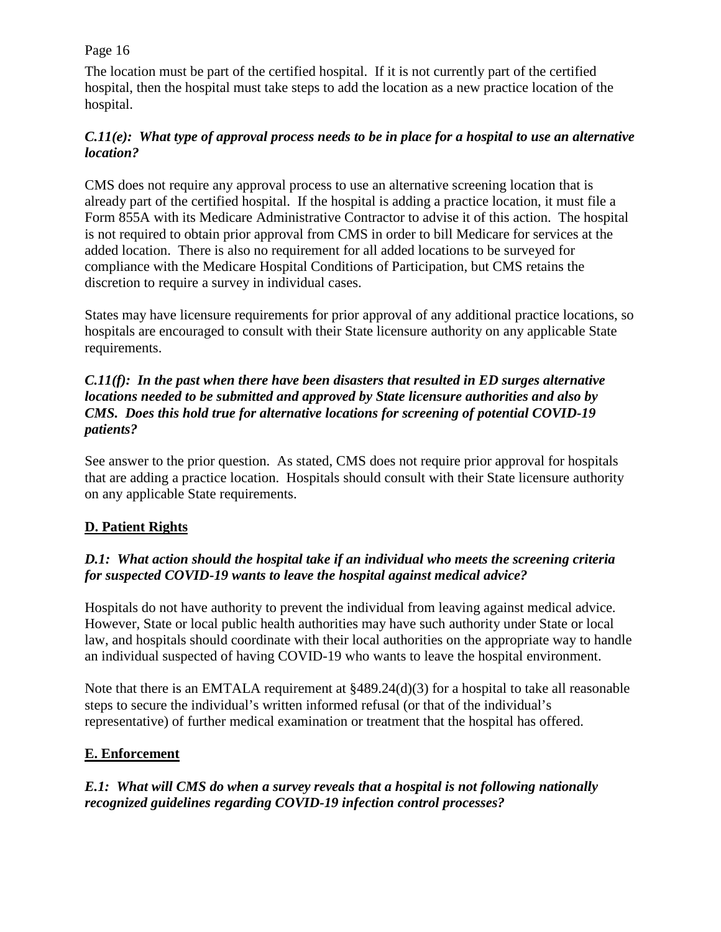The location must be part of the certified hospital. If it is not currently part of the certified hospital, then the hospital must take steps to add the location as a new practice location of the hospital.

## *C.11(e): What type of approval process needs to be in place for a hospital to use an alternative location?*

CMS does not require any approval process to use an alternative screening location that is already part of the certified hospital. If the hospital is adding a practice location, it must file a Form 855A with its Medicare Administrative Contractor to advise it of this action. The hospital is not required to obtain prior approval from CMS in order to bill Medicare for services at the added location. There is also no requirement for all added locations to be surveyed for compliance with the Medicare Hospital Conditions of Participation, but CMS retains the discretion to require a survey in individual cases.

States may have licensure requirements for prior approval of any additional practice locations, so hospitals are encouraged to consult with their State licensure authority on any applicable State requirements.

### *C.11(f): In the past when there have been disasters that resulted in ED surges alternative locations needed to be submitted and approved by State licensure authorities and also by CMS. Does this hold true for alternative locations for screening of potential COVID-19 patients?*

See answer to the prior question. As stated, CMS does not require prior approval for hospitals that are adding a practice location. Hospitals should consult with their State licensure authority on any applicable State requirements.

# **D. Patient Rights**

## *D.1: What action should the hospital take if an individual who meets the screening criteria for suspected COVID-19 wants to leave the hospital against medical advice?*

Hospitals do not have authority to prevent the individual from leaving against medical advice. However, State or local public health authorities may have such authority under State or local law, and hospitals should coordinate with their local authorities on the appropriate way to handle an individual suspected of having COVID-19 who wants to leave the hospital environment.

Note that there is an EMTALA requirement at  $\frac{8489.24(d)(3)}{3}$  for a hospital to take all reasonable steps to secure the individual's written informed refusal (or that of the individual's representative) of further medical examination or treatment that the hospital has offered.

## **E. Enforcement**

*E.1: What will CMS do when a survey reveals that a hospital is not following nationally recognized guidelines regarding COVID-19 infection control processes?*